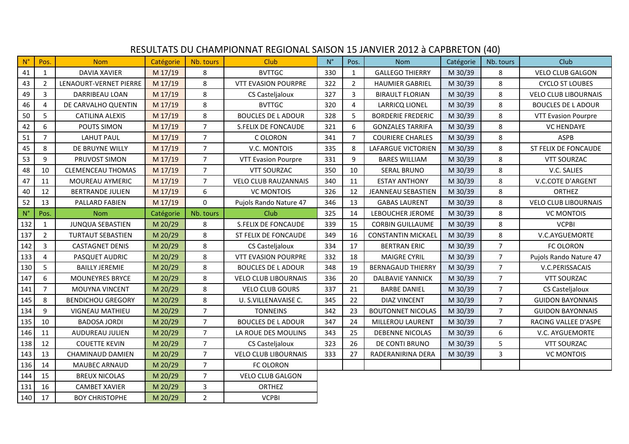|                    | RESULTATS DU CHAMPIONNAT REGIONAL SAISON 15 JANVIER 2012 à CAPBRETON (40) |                          |           |                |                             |             |                |                           |           |                |                             |  |
|--------------------|---------------------------------------------------------------------------|--------------------------|-----------|----------------|-----------------------------|-------------|----------------|---------------------------|-----------|----------------|-----------------------------|--|
| $N^{\circ}$        | Pos.                                                                      | <b>Nom</b>               | Catégorie | Nb. tours      | <b>Club</b>                 | $N^{\circ}$ | Pos.           | <b>Nom</b>                | Catégorie | Nb. tours      | Club                        |  |
| 41                 | $\mathbf{1}$                                                              | <b>DAVIA XAVIER</b>      | M 17/19   | 8              | <b>BVTTGC</b>               | 330         | $\mathbf{1}$   | <b>GALLEGO THIERRY</b>    | M 30/39   | 8              | <b>VELO CLUB GALGON</b>     |  |
| 43                 | 2                                                                         | LENAOURT-VERNET PIERRE   | M 17/19   | 8              | <b>VTT EVASION POURPRE</b>  | 322         | $\overline{2}$ | <b>HAUMIER GABRIEL</b>    | M 30/39   | 8              | <b>CYCLO ST LOUBES</b>      |  |
| 49                 | 3                                                                         | DARRIBEAU LOAN           | M 17/19   | 8              | CS Casteljaloux             | 327         | 3              | <b>BIRAULT FLORIAN</b>    | M 30/39   | 8              | <b>VELO CLUB LIBOURNAIS</b> |  |
| 46                 | 4                                                                         | DE CARVALHO QUENTIN      | M 17/19   | 8              | <b>BVTTGC</b>               | 320         | $\overline{4}$ | <b>LARRICQ LIONEL</b>     | M 30/39   | 8              | <b>BOUCLES DE L ADOUR</b>   |  |
| 50                 | 5                                                                         | CATILINA ALEXIS          | M 17/19   | 8              | <b>BOUCLES DE L ADOUR</b>   | 328         | 5              | <b>BORDERIE FREDERIC</b>  | M 30/39   | 8              | <b>VTT Evasion Pourpre</b>  |  |
| 42                 | 6                                                                         | POUTS SIMON              | M 17/19   | 7              | S.FELIX DE FONCAUDE         | 321         | 6              | <b>GONZALES TARRIFA</b>   | M 30/39   | 8              | <b>VC HENDAYE</b>           |  |
| 51                 | $\overline{7}$                                                            | <b>LAHUT PAUL</b>        | M 17/19   | $\overline{7}$ | C OLORON                    | 341         | $\overline{7}$ | <b>COURIERE CHARLES</b>   | M 30/39   | 8              | <b>ASPB</b>                 |  |
| 45                 | 8                                                                         | DE BRUYNE WILLY          | M 17/19   | $\overline{7}$ | V.C. MONTOIS                | 335         | 8              | <b>LAFARGUE VICTORIEN</b> | M 30/39   | 8              | ST FELIX DE FONCAUDE        |  |
| 53                 | 9                                                                         | PRUVOST SIMON            | M 17/19   | $\overline{7}$ | <b>VTT Evasion Pourpre</b>  | 331         | 9              | <b>BARES WILLIAM</b>      | M 30/39   | 8              | <b>VTT SOURZAC</b>          |  |
| 48                 | 10                                                                        | <b>CLEMENCEAU THOMAS</b> | $M$ 17/19 | $\overline{7}$ | <b>VTT SOURZAC</b>          | 350         | 10             | SERAL BRUNO               | M 30/39   | 8              | V.C. SALIES                 |  |
| 47                 | 11                                                                        | MOUREAU AYMERIC          | M 17/19   | $\overline{7}$ | <b>VELO CLUB RAUZANNAIS</b> | 340         | 11             | <b>ESTAY ANTHONY</b>      | M 30/39   | 8              | V.C.COTE D'ARGENT           |  |
| 40                 | 12                                                                        | <b>BERTRANDE JULIEN</b>  | M 17/19   | 6              | <b>VC MONTOIS</b>           | 326         | 12             | <b>JEANNEAU SEBASTIEN</b> | M 30/39   | 8              | <b>ORTHEZ</b>               |  |
| 52                 | 13                                                                        | PALLARD FABIEN           | M 17/19   | $\Omega$       | Pujols Rando Nature 47      | 346         | 13             | <b>GABAS LAURENT</b>      | M 30/39   | 8              | <b>VELO CLUB LIBOURNAIS</b> |  |
| $\mathsf{N}^\circ$ | Pos.                                                                      | <b>Nom</b>               | Catégorie | Nb. tours      | <b>Club</b>                 | 325         | 14             | LEBOUCHER JEROME          | M 30/39   | 8              | <b>VC MONTOIS</b>           |  |
| 132                | $\mathbf{1}$                                                              | <b>JUNQUA SEBASTIEN</b>  | M 20/29   | 8              | <b>S.FELIX DE FONCAUDE</b>  | 339         | 15             | <b>CORBIN GUILLAUME</b>   | M 30/39   | 8              | <b>VCPBI</b>                |  |
| 137                | $\overline{2}$                                                            | <b>TURTAUT SEBASTIEN</b> | M 20/29   | 8              | ST FELIX DE FONCAUDE        | 349         | 16             | <b>CONSTANTIN MICKAEL</b> | M 30/39   | 8              | V.C.AYGUEMORTE              |  |
| 142                | 3                                                                         | <b>CASTAGNET DENIS</b>   | M 20/29   | 8              | CS Castelialoux             | 334         | 17             | <b>BERTRAN ERIC</b>       | M 30/39   | $\overline{7}$ | FC OLORON                   |  |
| 133                | 4                                                                         | PASQUET AUDRIC           | M 20/29   | 8              | <b>VTT EVASION POURPRE</b>  | 332         | 18             | <b>MAIGRE CYRIL</b>       | M 30/39   | $\overline{7}$ | Pujols Rando Nature 47      |  |
| 130                | 5                                                                         | <b>BAILLY JEREMIE</b>    | M 20/29   | 8              | <b>BOUCLES DE L ADOUR</b>   | 348         | 19             | <b>BERNAGAUD THIERRY</b>  | M 30/39   | $\overline{7}$ | V.C.PERISSACAIS             |  |
| 147                | 6                                                                         | <b>MOUNEYRES BRYCE</b>   | M 20/29   | 8              | <b>VELO CLUB LIBOURNAIS</b> | 336         | 20             | <b>DALBAVIE YANNICK</b>   | M 30/39   | $\overline{7}$ | <b>VTT SOURZAC</b>          |  |
| 141                | $\overline{7}$                                                            | MOUYNA VINCENT           | M 20/29   | 8              | <b>VELO CLUB GOURS</b>      | 337         | 21             | <b>BARBE DANIEL</b>       | M 30/39   | $\overline{7}$ | CS Casteljaloux             |  |
| 145                | 8                                                                         | <b>BENDICHOU GREGORY</b> | M 20/29   | 8              | U. S.VILLENAVAISE C.        | 345         | 22             | <b>DIAZ VINCENT</b>       | M 30/39   | $\overline{7}$ | <b>GUIDON BAYONNAIS</b>     |  |
| 134                | 9                                                                         | <b>VIGNEAU MATHIEU</b>   | M 20/29   | $\overline{7}$ | <b>TONNEINS</b>             | 342         | 23             | <b>BOUTONNET NICOLAS</b>  | M 30/39   | $\overline{7}$ | <b>GUIDON BAYONNAIS</b>     |  |
| 135                | 10                                                                        | <b>BADOSA JORDI</b>      | M 20/29   | $\overline{7}$ | <b>BOUCLES DE L ADOUR</b>   | 347         | 24             | MILLEROU LAURENT          | M 30/39   | $\overline{7}$ | RACING VALLEE D'ASPE        |  |
| 146                | 11                                                                        | AUDUREAU JULIEN          | M 20/29   | $\overline{7}$ | LA ROUE DES MOULINS         | 343         | 25             | <b>DEBENNE NICOLAS</b>    | M 30/39   | 6              | V.C. AYGUEMORTE             |  |
| 138                | 12                                                                        | <b>COUETTE KEVIN</b>     | M 20/29   | $\overline{7}$ | CS Casteljaloux             | 323         | 26             | DE CONTI BRUNO            | M 30/39   | 5              | <b>VTT SOURZAC</b>          |  |
| 143                | 13                                                                        | CHAMINAUD DAMIEN         | M 20/29   | $\overline{7}$ | <b>VELO CLUB LIBOURNAIS</b> | 333         | 27             | RADERANIRINA DERA         | M 30/39   | 3              | <b>VC MONTOIS</b>           |  |
| 136                | 14                                                                        | <b>MAUBEC ARNAUD</b>     | M 20/29   | $\overline{7}$ | FC OLORON                   |             |                |                           |           |                |                             |  |
| 144                | 15                                                                        | <b>BREUX NICOLAS</b>     | M 20/29   | $\overline{7}$ | <b>VELO CLUB GALGON</b>     |             |                |                           |           |                |                             |  |
| 131                | 16                                                                        | <b>CAMBET XAVIER</b>     | M 20/29   | $\overline{3}$ | <b>ORTHEZ</b>               |             |                |                           |           |                |                             |  |
| 140                | 17                                                                        | <b>BOY CHRISTOPHE</b>    | M 20/29   | $\overline{2}$ | <b>VCPBI</b>                |             |                |                           |           |                |                             |  |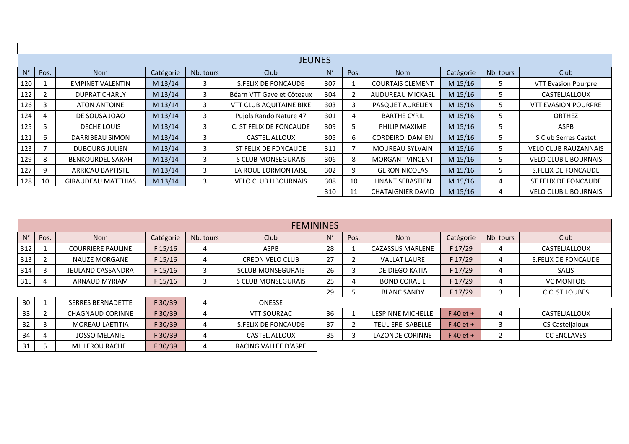| <b>JEUNES</b> |      |                           |           |           |                                |             |                |                          |           |           |                             |
|---------------|------|---------------------------|-----------|-----------|--------------------------------|-------------|----------------|--------------------------|-----------|-----------|-----------------------------|
| $N^{\circ}$   | Pos. | <b>Nom</b>                | Catégorie | Nb. tours | <b>Club</b>                    | $N^{\circ}$ | Pos.           | <b>Nom</b>               | Catégorie | Nb. tours | <b>Club</b>                 |
| 120           |      | <b>EMPINET VALENTIN</b>   | M 13/14   | 3         | S.FELIX DE FONCAUDE            | 307         |                | <b>COURTAIS CLEMENT</b>  | M 15/16   | כ         | <b>VTT Evasion Pourpre</b>  |
| 122           | 2    | <b>DUPRAT CHARLY</b>      | M 13/14   | 3         | Béarn VTT Gave et Côteaux      | 304         | $\overline{2}$ | AUDUREAU MICKAEL         | M 15/16   | C.        | CASTELJALLOUX               |
| 126           | 3    | <b>ATON ANTOINE</b>       | M 13/14   | 3         | <b>VTT CLUB AQUITAINE BIKE</b> | 303         | 3              | PASQUET AURELIEN         | M 15/16   | 5.        | <b>VTT EVASION POURPRE</b>  |
| 124           |      | DE SOUSA JOAO             | M 13/14   | 3         | Pujols Rando Nature 47         | 301         | 4              | <b>BARTHE CYRIL</b>      | M 15/16   | כ         | <b>ORTHEZ</b>               |
| 125           |      | DECHE LOUIS               | M 13/14   | 3         | C. ST FELIX DE FONCAUDE        | 309         | 5              | PHILIP MAXIME            | M 15/16   | כ         | ASPB                        |
| 121           | b    | DARRIBEAU SIMON           | M 13/14   | 3         | CASTELJALLOUX                  | 305         | 6              | <b>CORDEIRO DAMIEN</b>   | M 15/16   | C.        | S Club Serres Castet        |
| 123           |      | <b>DUBOURG JULIEN</b>     | M 13/14   | 3         | ST FELIX DE FONCAUDE           | 311         | $\overline{7}$ | <b>MOUREAU SYLVAIN</b>   | M 15/16   | 5.        | <b>VELO CLUB RAUZANNAIS</b> |
| 129           | 8    | <b>BENKOURDEL SARAH</b>   | M 13/14   | 3         | S CLUB MONSEGURAIS             | 306         | 8              | <b>MORGANT VINCENT</b>   | M 15/16   | 5         | <b>VELO CLUB LIBOURNAIS</b> |
| 127           | 9    | <b>ARRICAU BAPTISTE</b>   | M 13/14   | 3         | LA ROUE LORMONTAISE            | 302         | 9              | <b>GERON NICOLAS</b>     | M 15/16   | 5.        | S.FELIX DE FONCAUDE         |
| 128           | 10   | <b>GIRAUDEAU MATTHIAS</b> | M 13/14   | 3         | <b>VELO CLUB LIBOURNAIS</b>    | 308         | 10             | LINANT SEBASTIEN         | M 15/16   | 4         | ST FELIX DE FONCAUDE        |
|               |      |                           |           |           |                                |             |                | <b>CHATAIGNIER DAVID</b> | M 15/16   | 4         | <b>VELO CLUB LIBOURNAIS</b> |

 $\mathbf{I}$ 

| <b>FEMININES</b> |      |                          |           |           |                          |    |      |                          |             |           |                     |
|------------------|------|--------------------------|-----------|-----------|--------------------------|----|------|--------------------------|-------------|-----------|---------------------|
|                  | Pos. | <b>Nom</b>               | Catégorie | Nb. tours | Club                     | N° | Pos. | <b>Nom</b>               | Catégorie   | Nb. tours | Club                |
| 312              |      | <b>COURRIERE PAULINE</b> | F 15/16   | 4         | <b>ASPB</b>              | 28 |      | <b>CAZASSUS MARLENE</b>  | F 17/29     | 4         | CASTELJALLOUX       |
| 313              |      | <b>NAUZE MORGANE</b>     | F 15/16   | 4         | <b>CREON VELO CLUB</b>   | 27 |      | <b>VALLAT LAURE</b>      | F 17/29     | 4         | S.FELIX DE FONCAUDE |
| 314              |      | <b>JEULAND CASSANDRA</b> | F 15/16   |           | <b>SCLUB MONSEGURAIS</b> | 26 |      | DE DIEGO KATIA           | F 17/29     | 4         | <b>SALIS</b>        |
| 315              | 4    | ARNAUD MYRIAM            | F 15/16   |           | S CLUB MONSEGURAIS       | 25 |      | <b>BOND CORALIE</b>      | F 17/29     | 4         | <b>VC MONTOIS</b>   |
|                  |      |                          |           |           |                          |    |      | <b>BLANC SANDY</b>       | F 17/29     | 3         | C.C. ST LOUBES      |
| 30               |      | <b>SERRES BERNADETTE</b> | F 30/39   | 4         | <b>ONESSE</b>            |    |      |                          |             |           |                     |
| 33               |      | <b>CHAGNAUD CORINNE</b>  | F 30/39   | 4         | <b>VTT SOURZAC</b>       | 36 |      | <b>LESPINNE MICHELLE</b> | $F$ 40 et + | 4         | CASTELJALLOUX       |
| 32               |      | <b>MOREAU LAETITIA</b>   | F 30/39   | 4         | S.FELIX DE FONCAUDE      | 37 |      | <b>TEULIERE ISABELLE</b> | $F$ 40 et + | 3         | CS Casteljaloux     |
| 34               | 4    | <b>JOSSO MELANIE</b>     | F 30/39   | 4         | CASTELJALLOUX            | 35 |      | <b>LAZONDE CORINNE</b>   | $F$ 40 et + |           | <b>CC ENCLAVES</b>  |
| 31               |      | <b>MILLEROU RACHEL</b>   | F 30/39   | 4         | RACING VALLEE D'ASPE     |    |      |                          |             |           |                     |